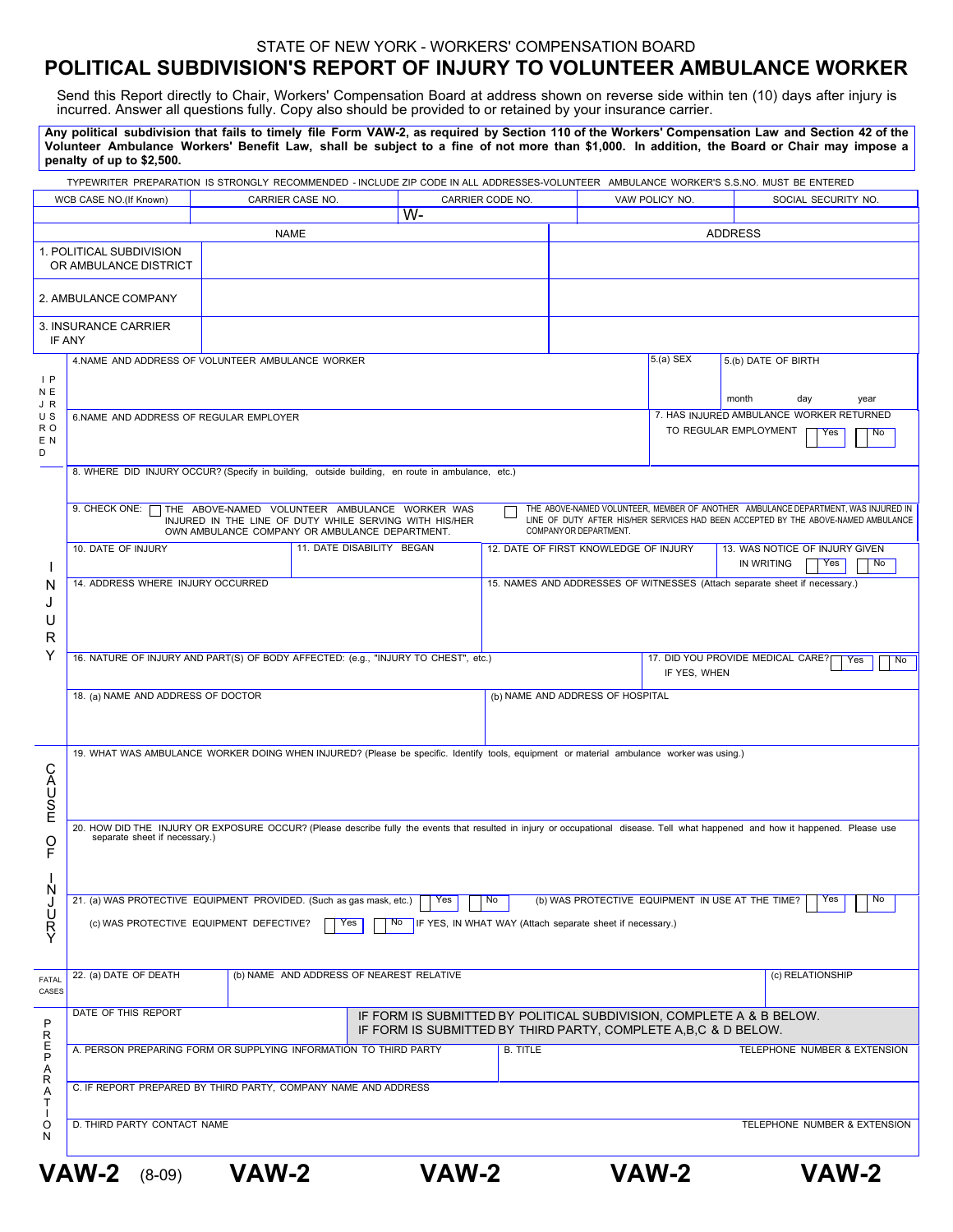## STATE OF NEW YORK - WORKERS' COMPENSATION BOARD

# **POLITICAL SUBDIVISION'S REPORT OF INJURY TO VOLUNTEER AMBULANCE WORKER**

Send this Report directly to Chair, Workers' Compensation Board at address shown on reverse side within ten (10) days after injury is incurred. Answer all questions fully. Copy also should be provided to or retained by your insurance carrier.

|                                            | penalty of up to \$2,500.                                                                                                                                                                                                                                              |                                                                                                                                    |                           |                                          |                                                                |                                                                                                                                                                         |                |           | Any political subdivision that fails to timely file Form VAW-2, as required by Section 110 of the Workers' Compensation Law and Section 42 of the<br>Volunteer Ambulance Workers' Benefit Law, shall be subject to a fine of not more than \$1,000. In addition, the Board or Chair may impose a |  |
|--------------------------------------------|------------------------------------------------------------------------------------------------------------------------------------------------------------------------------------------------------------------------------------------------------------------------|------------------------------------------------------------------------------------------------------------------------------------|---------------------------|------------------------------------------|----------------------------------------------------------------|-------------------------------------------------------------------------------------------------------------------------------------------------------------------------|----------------|-----------|--------------------------------------------------------------------------------------------------------------------------------------------------------------------------------------------------------------------------------------------------------------------------------------------------|--|
|                                            | TYPEWRITER PREPARATION IS STRONGLY RECOMMENDED - INCLUDE ZIP CODE IN ALL ADDRESSES-VOLUNTEER AMBULANCE WORKER'S S.S.NO. MUST BE ENTERED                                                                                                                                |                                                                                                                                    |                           |                                          |                                                                |                                                                                                                                                                         |                |           |                                                                                                                                                                                                                                                                                                  |  |
| CARRIER CASE NO.<br>WCB CASE NO.(If Known) |                                                                                                                                                                                                                                                                        |                                                                                                                                    |                           | CARRIER CODE NO.                         |                                                                |                                                                                                                                                                         | VAW POLICY NO. |           | SOCIAL SECURITY NO.                                                                                                                                                                                                                                                                              |  |
|                                            |                                                                                                                                                                                                                                                                        |                                                                                                                                    |                           | $W -$                                    |                                                                |                                                                                                                                                                         |                |           |                                                                                                                                                                                                                                                                                                  |  |
| <b>NAME</b>                                |                                                                                                                                                                                                                                                                        |                                                                                                                                    |                           |                                          |                                                                |                                                                                                                                                                         | <b>ADDRESS</b> |           |                                                                                                                                                                                                                                                                                                  |  |
|                                            | 1. POLITICAL SUBDIVISION<br>OR AMBULANCE DISTRICT                                                                                                                                                                                                                      |                                                                                                                                    |                           |                                          |                                                                |                                                                                                                                                                         |                |           |                                                                                                                                                                                                                                                                                                  |  |
| 2. AMBULANCE COMPANY                       |                                                                                                                                                                                                                                                                        |                                                                                                                                    |                           |                                          |                                                                |                                                                                                                                                                         |                |           |                                                                                                                                                                                                                                                                                                  |  |
| 3. INSURANCE CARRIER<br>IF ANY             |                                                                                                                                                                                                                                                                        |                                                                                                                                    |                           |                                          |                                                                |                                                                                                                                                                         |                |           |                                                                                                                                                                                                                                                                                                  |  |
| P <br>N E                                  | $5.(a)$ SEX<br>4.NAME AND ADDRESS OF VOLUNTEER AMBULANCE WORKER<br>5.(b) DATE OF BIRTH<br>month<br>day<br>year                                                                                                                                                         |                                                                                                                                    |                           |                                          |                                                                |                                                                                                                                                                         |                |           |                                                                                                                                                                                                                                                                                                  |  |
| J R<br>U S<br>R O<br>E N<br>D              | 7. HAS INJURED AMBULANCE WORKER RETURNED<br>6.NAME AND ADDRESS OF REGULAR EMPLOYER<br>TO REGULAR EMPLOYMENT<br>Yes                                                                                                                                                     |                                                                                                                                    |                           |                                          |                                                                |                                                                                                                                                                         |                | <b>No</b> |                                                                                                                                                                                                                                                                                                  |  |
|                                            | 8. WHERE DID INJURY OCCUR? (Specify in building, outside building, en route in ambulance, etc.)                                                                                                                                                                        |                                                                                                                                    |                           |                                          |                                                                |                                                                                                                                                                         |                |           |                                                                                                                                                                                                                                                                                                  |  |
|                                            | 9. CHECK ONE: T THE ABOVE-NAMED VOLUNTEER AMBULANCE WORKER WAS                                                                                                                                                                                                         | INJURED IN THE LINE OF DUTY WHILE SERVING WITH HIS/HER<br>COMPANY OR DEPARTMENT.<br>OWN AMBULANCE COMPANY OR AMBULANCE DEPARTMENT. |                           |                                          |                                                                | THE ABOVE-NAMED VOLUNTEER, MEMBER OF ANOTHER AMBULANCE DEPARTMENT, WAS INJURED IN<br>LINE OF DUTY AFTER HIS/HER SERVICES HAD BEEN ACCEPTED BY THE ABOVE-NAMED AMBULANCE |                |           |                                                                                                                                                                                                                                                                                                  |  |
| I<br>Ν<br>J<br>U<br>R                      | 10. DATE OF INJURY                                                                                                                                                                                                                                                     |                                                                                                                                    | 11. DATE DISABILITY BEGAN |                                          | 12. DATE OF FIRST KNOWLEDGE OF INJURY                          |                                                                                                                                                                         |                |           | 13. WAS NOTICE OF INJURY GIVEN<br>IN WRITING<br>Yes<br>No                                                                                                                                                                                                                                        |  |
|                                            | 14. ADDRESS WHERE INJURY OCCURRED                                                                                                                                                                                                                                      |                                                                                                                                    |                           |                                          |                                                                | 15. NAMES AND ADDRESSES OF WITNESSES (Attach separate sheet if necessary.)                                                                                              |                |           |                                                                                                                                                                                                                                                                                                  |  |
| Y                                          | 16. NATURE OF INJURY AND PART(S) OF BODY AFFECTED: (e.g., "INJURY TO CHEST", etc.)                                                                                                                                                                                     |                                                                                                                                    |                           |                                          | 17. DID YOU PROVIDE MEDICAL CARE?<br>No<br>Yes<br>IF YES, WHEN |                                                                                                                                                                         |                |           |                                                                                                                                                                                                                                                                                                  |  |
|                                            | 18. (a) NAME AND ADDRESS OF DOCTOR                                                                                                                                                                                                                                     |                                                                                                                                    |                           | (b) NAME AND ADDRESS OF HOSPITAL         |                                                                |                                                                                                                                                                         |                |           |                                                                                                                                                                                                                                                                                                  |  |
| CAUS<br>E                                  | 19. WHAT WAS AMBULANCE WORKER DOING WHEN INJURED? (Please be specific. Identify tools, equipment or material ambulance worker was using.)                                                                                                                              |                                                                                                                                    |                           |                                          |                                                                |                                                                                                                                                                         |                |           |                                                                                                                                                                                                                                                                                                  |  |
| ဥ                                          | 20. HOW DID THE INJURY OR EXPOSURE OCCUR? (Please describe fully the events that resulted in injury or occupational disease. Tell what happened and how it happened. Please use<br>separate sheet if necessary.)                                                       |                                                                                                                                    |                           |                                          |                                                                |                                                                                                                                                                         |                |           |                                                                                                                                                                                                                                                                                                  |  |
| N<br>J<br>U<br>Ŕ                           | 21. (a) WAS PROTECTIVE EQUIPMENT PROVIDED. (Such as gas mask, etc.)<br>No<br>Yes<br>No<br>(b) WAS PROTECTIVE EQUIPMENT IN USE AT THE TIME?<br>Yes<br>(c) WAS PROTECTIVE EQUIPMENT DEFECTIVE?<br>Yes<br>IF YES, IN WHAT WAY (Attach separate sheet if necessary.)<br>No |                                                                                                                                    |                           |                                          |                                                                |                                                                                                                                                                         |                |           |                                                                                                                                                                                                                                                                                                  |  |
| FATAL<br>CASES                             | 22. (a) DATE OF DEATH                                                                                                                                                                                                                                                  |                                                                                                                                    |                           | (b) NAME AND ADDRESS OF NEAREST RELATIVE |                                                                |                                                                                                                                                                         |                |           | (c) RELATIONSHIP                                                                                                                                                                                                                                                                                 |  |
| P                                          | DATE OF THIS REPORT                                                                                                                                                                                                                                                    |                                                                                                                                    |                           |                                          |                                                                | IF FORM IS SUBMITTED BY POLITICAL SUBDIVISION, COMPLETE A & B BELOW.<br>IF FORM IS SUBMITTED BY THIRD PARTY, COMPLETE A, B, C & D BELOW.                                |                |           |                                                                                                                                                                                                                                                                                                  |  |
| R<br>E<br>P<br>Α                           | A. PERSON PREPARING FORM OR SUPPLYING INFORMATION TO THIRD PARTY<br><b>B. TITLE</b><br>TELEPHONE NUMBER & EXTENSION                                                                                                                                                    |                                                                                                                                    |                           |                                          |                                                                |                                                                                                                                                                         |                |           |                                                                                                                                                                                                                                                                                                  |  |
| R<br>Α<br>Т                                | C. IF REPORT PREPARED BY THIRD PARTY, COMPANY NAME AND ADDRESS                                                                                                                                                                                                         |                                                                                                                                    |                           |                                          |                                                                |                                                                                                                                                                         |                |           |                                                                                                                                                                                                                                                                                                  |  |
| O<br>N                                     | D. THIRD PARTY CONTACT NAME                                                                                                                                                                                                                                            |                                                                                                                                    |                           | TELEPHONE NUMBER & EXTENSION             |                                                                |                                                                                                                                                                         |                |           |                                                                                                                                                                                                                                                                                                  |  |
|                                            | <b>VAW-2</b><br>$(8-09)$                                                                                                                                                                                                                                               | <b>VAW-2</b>                                                                                                                       |                           | <b>VAW-2</b>                             |                                                                |                                                                                                                                                                         | <b>VAW-2</b>   |           | <b>VAW-2</b>                                                                                                                                                                                                                                                                                     |  |